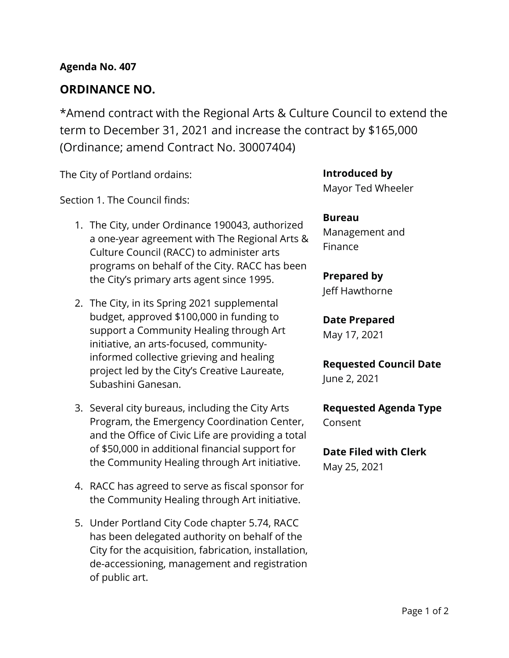## **ORDINANCE NO.**

\*Amend contract with the Regional Arts & Culture Council to extend the term to December 31, 2021 and increase the contract by \$165,000 (Ordinance; amend Contract No. 30007404)

The City of Portland ordains:

Section 1. The Council finds:

- 1. The City, under Ordinance 190043, authorized a one-year agreement with The Regional Arts & Culture Council (RACC) to administer arts programs on behalf of the City. RACC has been the City's primary arts agent since 1995.
- 2. The City, in its Spring 2021 supplemental budget, approved \$100,000 in funding to support a Community Healing through Art initiative, an arts-focused, communityinformed collective grieving and healing project led by the City's Creative Laureate, Subashini Ganesan.
- 3. Several city bureaus, including the City Arts Program, the Emergency Coordination Center, and the Office of Civic Life are providing a total of \$50,000 in additional financial support for the Community Healing through Art initiative.
- 4. RACC has agreed to serve as fiscal sponsor for the Community Healing through Art initiative.
- 5. Under Portland City Code chapter 5.74, RACC has been delegated authority on behalf of the City for the acquisition, fabrication, installation, de-accessioning, management and registration of public art.

**Introduced by** Mayor Ted Wheeler

**Bureau** Management and Finance

### **Prepared by**

Jeff Hawthorne

**Date Prepared**

May 17, 2021

**Requested Council Date** June 2, 2021

**Requested Agenda Type** Consent

**Date Filed with Clerk** May 25, 2021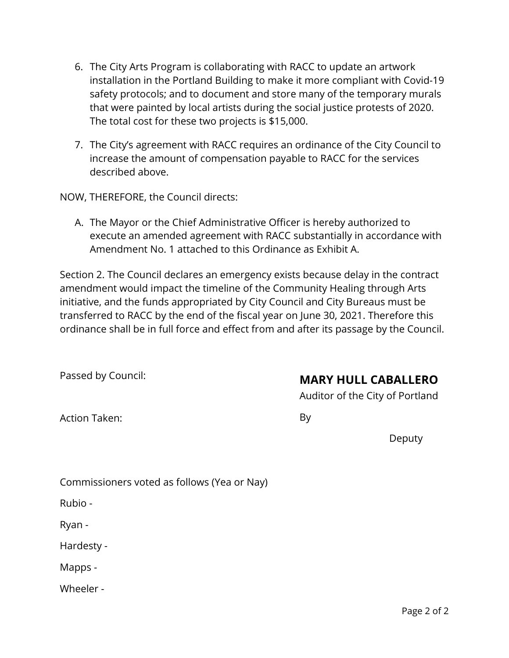- 6. The City Arts Program is collaborating with RACC to update an artwork installation in the Portland Building to make it more compliant with Covid-19 safety protocols; and to document and store many of the temporary murals that were painted by local artists during the social justice protests of 2020. The total cost for these two projects is \$15,000.
- 7. The City's agreement with RACC requires an ordinance of the City Council to increase the amount of compensation payable to RACC for the services described above.

NOW, THEREFORE, the Council directs:

A. The Mayor or the Chief Administrative Officer is hereby authorized to execute an amended agreement with RACC substantially in accordance with Amendment No. 1 attached to this Ordinance as Exhibit A.

Section 2. The Council declares an emergency exists because delay in the contract amendment would impact the timeline of the Community Healing through Arts initiative, and the funds appropriated by City Council and City Bureaus must be transferred to RACC by the end of the fiscal year on June 30, 2021. Therefore this ordinance shall be in full force and effect from and after its passage by the Council.

Passed by Council:

# **MARY HULL CABALLERO**

Auditor of the City of Portland

Action Taken:

By

Deputy

| Commissioners voted as follows (Yea or Nay) |  |  |  |
|---------------------------------------------|--|--|--|
|                                             |  |  |  |

Rubio -

Ryan -

Hardesty -

Mapps -

Wheeler -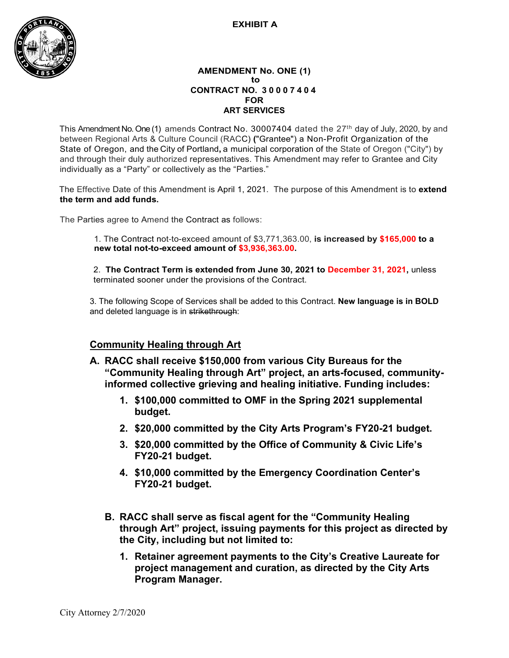#### **EXHIBIT A**



#### **AMENDMENT No. ONE (1) to CONTRACT NO. 3 0007404 FOR ART SERVICES**

This Amendment No. One (1) amends Contract No. 30007404 dated the 27<sup>th</sup> day of July, 2020, by and between Regional Arts & Culture Council (RACC) **(**"Grantee") a Non-Profit Organization of the State of Oregon, and the City of Portland**,** a municipal corporation of the State of Oregon ("City") by and through their duly authorized representatives. This Amendment may refer to Grantee and City individually as a "Party" or collectively as the "Parties."

The Effective Date of this Amendment is April 1, 2021.The purpose of this Amendment is to **extend the term and add funds.**

The Parties agree to Amend the Contract as follows:

1. The Contract not-to-exceed amount of \$3,771,363.00, **is increased by \$165,000 to a new total not-to-exceed amount of \$3,936,363.00.**

2. **The Contract Term is extended from June 30, 2021 to December 31, 2021,** unless terminated sooner under the provisions of the Contract.

3. The following Scope of Services shall be added to this Contract. **New language is in BOLD** and deleted language is in strikethrough:

### **Community Healing through Art**

- **A. RACC shall receive \$150,000 from various City Bureaus for the "Community Healing through Art" project, an arts-focused, communityinformed collective grieving and healing initiative. Funding includes:**
	- **1. \$100,000 committed to OMF in the Spring 2021 supplemental budget.**
	- **2. \$20,000 committed by the City Arts Program's FY20-21 budget.**
	- **3. \$20,000 committed by the Office of Community & Civic Life's FY20-21 budget.**
	- **4. \$10,000 committed by the Emergency Coordination Center's FY20-21 budget.**
	- **B. RACC shall serve as fiscal agent for the "Community Healing through Art" project, issuing payments for this project as directed by the City, including but not limited to:**
		- **1. Retainer agreement payments to the City's Creative Laureate for project management and curation, as directed by the City Arts Program Manager.**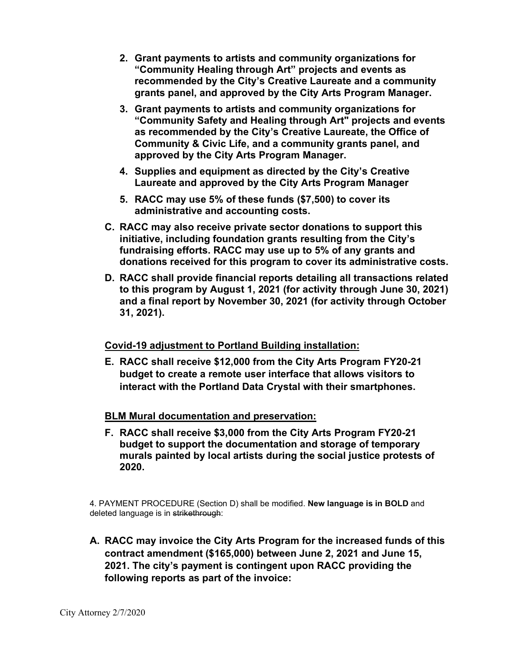- **2. Grant payments to artists and community organizations for "Community Healing through Art" projects and events as recommended by the City's Creative Laureate and a community grants panel, and approved by the City Arts Program Manager.**
- **3. Grant payments to artists and community organizations for "Community Safety and Healing through Art" projects and events as recommended by the City's Creative Laureate, the Office of Community & Civic Life, and a community grants panel, and approved by the City Arts Program Manager.**
- **4. Supplies and equipment as directed by the City's Creative Laureate and approved by the City Arts Program Manager**
- **5. RACC may use 5% of these funds (\$7,500) to cover its administrative and accounting costs.**
- **C. RACC may also receive private sector donations to support this initiative, including foundation grants resulting from the City's fundraising efforts. RACC may use up to 5% of any grants and donations received for this program to cover its administrative costs.**
- **D. RACC shall provide financial reports detailing all transactions related to this program by August 1, 2021 (for activity through June 30, 2021) and a final report by November 30, 2021 (for activity through October 31, 2021).**

### **Covid-19 adjustment to Portland Building installation:**

**E. RACC shall receive \$12,000 from the City Arts Program FY20-21 budget to create a remote user interface that allows visitors to interact with the Portland Data Crystal with their smartphones.**

### **BLM Mural documentation and preservation:**

**F. RACC shall receive \$3,000 from the City Arts Program FY20-21 budget to support the documentation and storage of temporary murals painted by local artists during the social justice protests of 2020.**

4. PAYMENT PROCEDURE (Section D) shall be modified. **New language is in BOLD** and deleted language is in strikethrough:

**A. RACC may invoice the City Arts Program for the increased funds of this contract amendment (\$165,000) between June 2, 2021 and June 15, 2021. The city's payment is contingent upon RACC providing the following reports as part of the invoice:**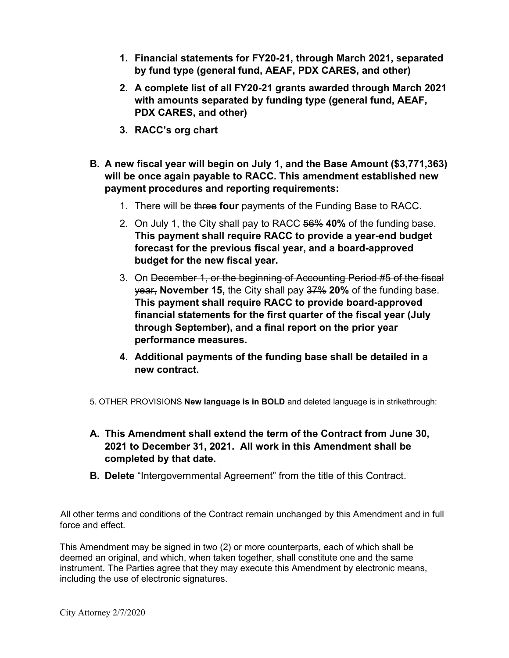- **1. Financial statements for FY20-21, through March 2021, separated by fund type (general fund, AEAF, PDX CARES, and other)**
- **2. A complete list of all FY20-21 grants awarded through March 2021 with amounts separated by funding type (general fund, AEAF, PDX CARES, and other)**
- **3. RACC's org chart**
- **B. A new fiscal year will begin on July 1, and the Base Amount (\$3,771,363) will be once again payable to RACC. This amendment established new payment procedures and reporting requirements:**
	- 1. There will be three **four** payments of the Funding Base to RACC.
	- 2. On July 1, the City shall pay to RACC 56% **40%** of the funding base. **This payment shall require RACC to provide a year-end budget forecast for the previous fiscal year, and a board-approved budget for the new fiscal year.**
	- 3. On December 1, or the beginning of Accounting Period #5 of the fiscal year, **November 15,** the City shall pay 37% **20%** of the funding base. **This payment shall require RACC to provide board-approved financial statements for the first quarter of the fiscal year (July through September), and a final report on the prior year performance measures.**
	- **4. Additional payments of the funding base shall be detailed in a new contract.**
- 5. OTHER PROVISIONS **New language is in BOLD** and deleted language is in strikethrough:
- **A. This Amendment shall extend the term of the Contract from June 30, 2021 to December 31, 2021. All work in this Amendment shall be completed by that date.**
- **B. Delete** "Intergovernmental Agreement" from the title of this Contract.

All other terms and conditions of the Contract remain unchanged by this Amendment and in full force and effect.

This Amendment may be signed in two (2) or more counterparts, each of which shall be deemed an original, and which, when taken together, shall constitute one and the same instrument. The Parties agree that they may execute this Amendment by electronic means, including the use of electronic signatures.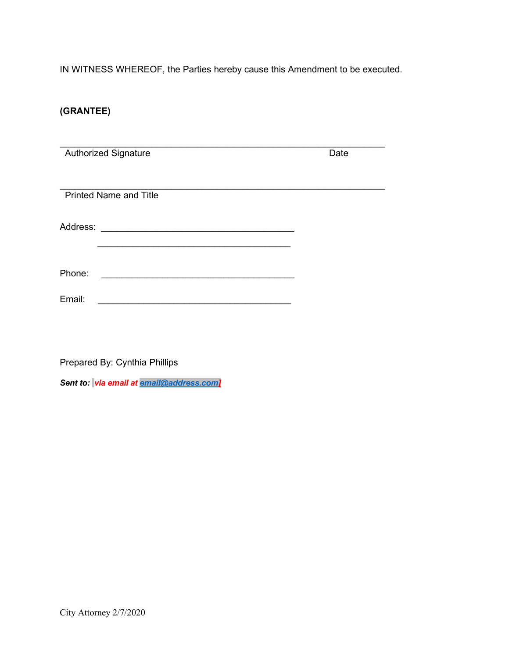IN WITNESS WHEREOF, the Parties hereby cause this Amendment to be executed.

### **(GRANTEE)**

|          | <b>Authorized Signature</b>   | Date |
|----------|-------------------------------|------|
|          |                               |      |
|          |                               |      |
|          |                               |      |
|          | <b>Printed Name and Title</b> |      |
|          |                               |      |
| Address: |                               |      |
|          |                               |      |
|          |                               |      |
|          |                               |      |
| Phone:   |                               |      |
|          |                               |      |
| Email:   |                               |      |
|          |                               |      |
|          |                               |      |

Prepared By: Cynthia Phillips

*Sent to: via email at [email@address.com\]](mailto:email@address.com)*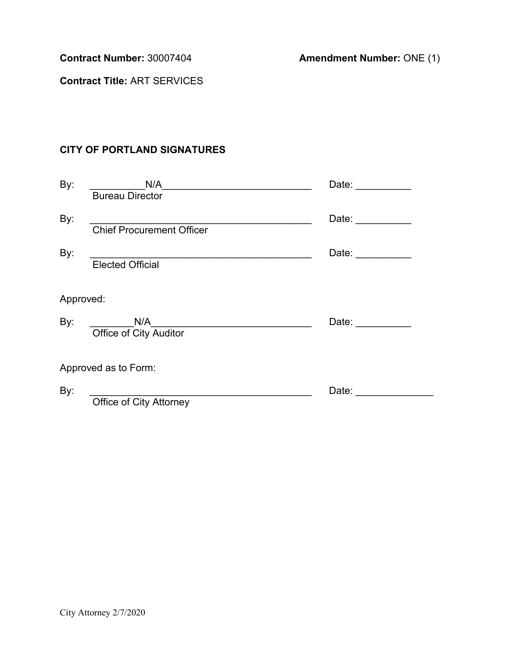**Contract Number:** 30007404 **Amendment Number:** ONE (1)

**Contract Title:** ART SERVICES

## **CITY OF PORTLAND SIGNATURES**

| By:       | N/A                            | Date: <b>Date</b>                                                                                                                                                                                                              |
|-----------|--------------------------------|--------------------------------------------------------------------------------------------------------------------------------------------------------------------------------------------------------------------------------|
|           | <b>Bureau Director</b>         |                                                                                                                                                                                                                                |
| By:       |                                | Date: $\frac{1}{\sqrt{1-\frac{1}{2}}\cdot\frac{1}{\sqrt{1-\frac{1}{2}}\cdot\frac{1}{2}}\cdot\frac{1}{\sqrt{1-\frac{1}{2}}\cdot\frac{1}{2}}$                                                                                    |
|           | Chief Procurement Officer      |                                                                                                                                                                                                                                |
| By:       |                                | Date: the contract of the contract of the contract of the contract of the contract of the contract of the contract of the contract of the contract of the contract of the contract of the contract of the contract of the cont |
|           | <b>Elected Official</b>        |                                                                                                                                                                                                                                |
|           |                                |                                                                                                                                                                                                                                |
| Approved: |                                |                                                                                                                                                                                                                                |
| By:       | N/A                            | Date: $\frac{1}{2}$                                                                                                                                                                                                            |
|           | <b>Office of City Auditor</b>  |                                                                                                                                                                                                                                |
|           |                                |                                                                                                                                                                                                                                |
|           | Approved as to Form:           |                                                                                                                                                                                                                                |
| By:       |                                | Date:                                                                                                                                                                                                                          |
|           | <b>Office of City Attorney</b> |                                                                                                                                                                                                                                |
|           |                                |                                                                                                                                                                                                                                |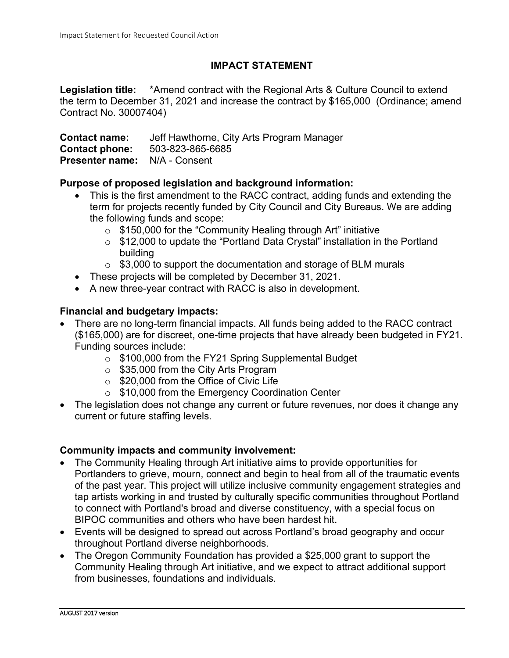### **IMPACT STATEMENT**

Legislation title: \*Amend contract with the Regional Arts & Culture Council to extend the term to December 31, 2021 and increase the contract by \$165,000 (Ordinance; amend Contract No. 30007404)

**Contact name:** Jeff Hawthorne, City Arts Program Manager **Contact phone:** 503-823-865-6<br>**Presenter name:** N/A - Consent **Presenter name:** 

### **Purpose of proposed legislation and background information:**

- This is the first amendment to the RACC contract, adding funds and extending the term for projects recently funded by City Council and City Bureaus. We are adding the following funds and scope:
	- o \$150,000 for the "Community Healing through Art" initiative
	- o \$12,000 to update the "Portland Data Crystal" installation in the Portland building
	- o \$3,000 to support the documentation and storage of BLM murals
- These projects will be completed by December 31, 2021.
- A new three-year contract with RACC is also in development.

### **Financial and budgetary impacts:**

- There are no long-term financial impacts. All funds being added to the RACC contract (\$165,000) are for discreet, one-time projects that have already been budgeted in FY21. Funding sources include:
	- $\frac{6}{5}$  \$100,000 from the FY21 Spring Supplemental Budget
	- o \$35,000 from the City Arts Program
	- o \$20,000 from the Office of Civic Life
	- o \$10,000 from the Emergency Coordination Center
- The legislation does not change any current or future revenues, nor does it change any current or future staffing levels.

### **Community impacts and community involvement:**

- The Community Healing through Art initiative aims to provide opportunities for Portlanders to grieve, mourn, connect and begin to heal from all of the traumatic events of the past year. This project will utilize inclusive community engagement strategies and tap artists working in and trusted by culturally specific communities throughout Portland to connect with Portland's broad and diverse constituency, with a special focus on BIPOC communities and others who have been hardest hit.
- Events will be designed to spread out across Portland's broad geography and occur throughout Portland diverse neighborhoods.
- The Oregon Community Foundation has provided a \$25,000 grant to support the Community Healing through Art initiative, and we expect to attract additional support from businesses, foundations and individuals.